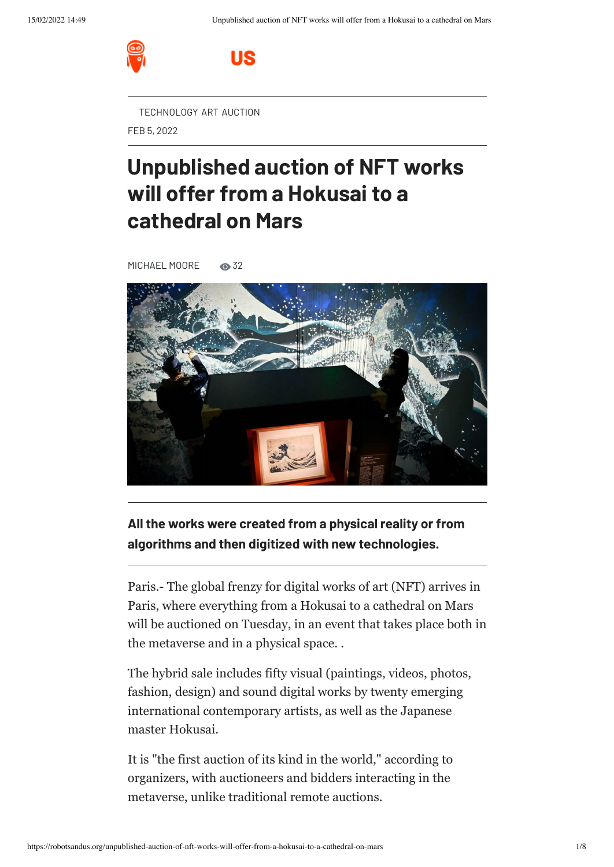

[TECHNOLOGY](https://robotsandus.org/page/technology) [ART](https://robotsandus.org/page/art) [AUCTION](https://robotsandus.org/page/auction)

US

FEB 5, 2022

# **Unpublished auction of NFT works will offer from a Hokusai to a cathedral on Mars**

[MICHAEL](https://robotsandus.org/author/michael-moore) MOORE 32



## **All the works were created from a physical reality or from algorithms and then digitized with new technologies.**

Paris.- The global frenzy for digital works of art (NFT) arrives in Paris, where everything from a Hokusai to a cathedral on Mars will be auctioned on Tuesday, in an event that takes place both in the metaverse and in a physical space. .

The hybrid sale includes fifty visual (paintings, videos, photos, fashion, design) and sound digital works by twenty emerging international contemporary artists, as well as the Japanese master Hokusai.

It is "the first auction of its kind in the world," according to organizers, with auctioneers and bidders interacting in the metaverse, unlike traditional remote auctions.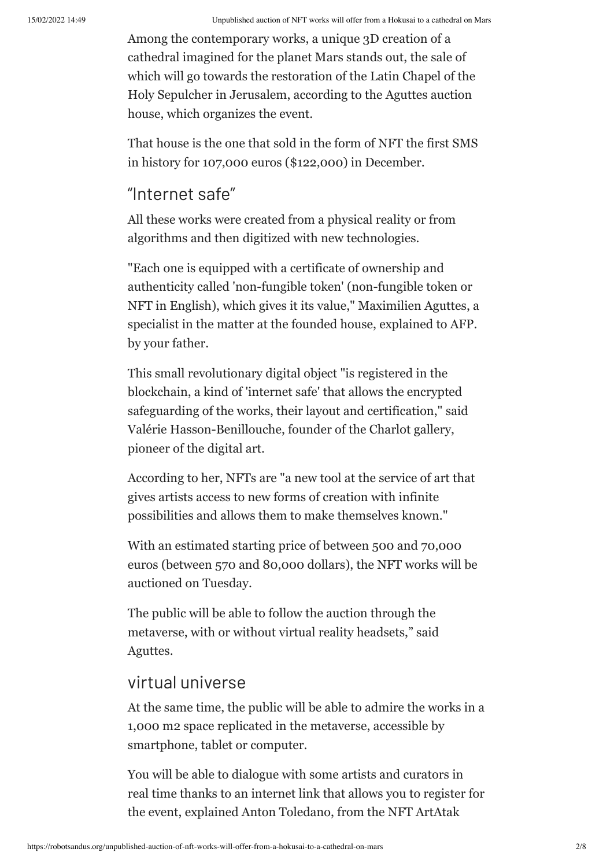Among the contemporary works, a unique 3D creation of a cathedral imagined for the planet Mars stands out, the sale of which will go towards the restoration of the Latin Chapel of the Holy Sepulcher in Jerusalem, according to the Aguttes auction house, which organizes the event.

That house is the one that sold in the form of NFT the first SMS in history for 107,000 euros (\$122,000) in December.

# "Internet safe"

All these works were created from a physical reality or from algorithms and then digitized with new technologies.

"Each one is equipped with a certificate of ownership and authenticity called 'non-fungible token' (non-fungible token or NFT in English), which gives it its value," Maximilien Aguttes, a specialist in the matter at the founded house, explained to AFP. by your father.

This small revolutionary digital object "is registered in the blockchain, a kind of 'internet safe' that allows the encrypted safeguarding of the works, their layout and certification," said Valérie Hasson-Benillouche, founder of the Charlot gallery, pioneer of the digital art.

According to her, NFTs are "a new tool at the service of art that gives artists access to new forms of creation with infinite possibilities and allows them to make themselves known."

With an estimated starting price of between 500 and 70,000 euros (between 570 and 80,000 dollars), the NFT works will be auctioned on Tuesday.

The public will be able to follow the auction through the metaverse, with or without virtual reality headsets," said Aguttes.

## virtual universe

At the same time, the public will be able to admire the works in a 1,000 m2 space replicated in the metaverse, accessible by smartphone, tablet or computer.

You will be able to dialogue with some artists and curators in real time thanks to an internet link that allows you to register for the event, explained Anton Toledano, from the NFT ArtAtak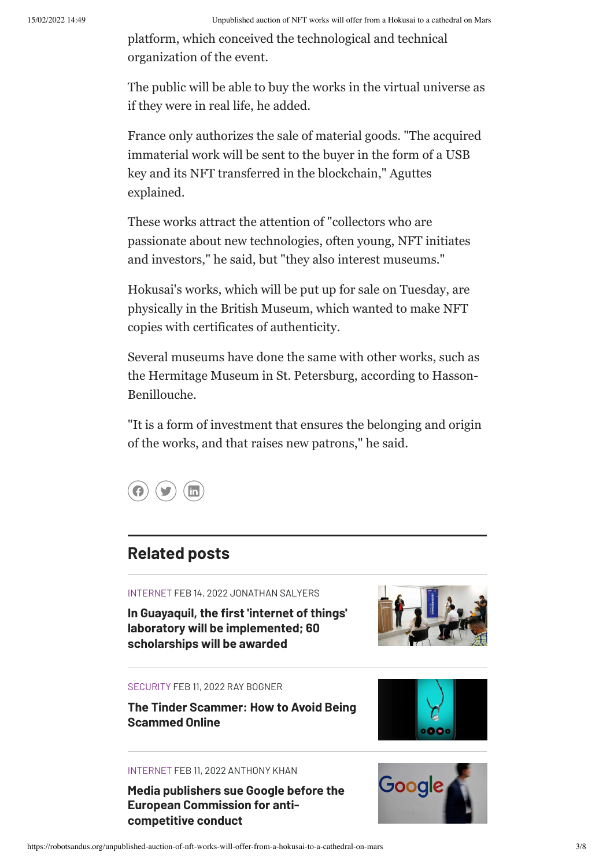platform, which conceived the technological and technical organization of the event.

The public will be able to buy the works in the virtual universe as if they were in real life, he added.

France only authorizes the sale of material goods. "The acquired immaterial work will be sent to the buyer in the form of a USB key and its NFT transferred in the blockchain," Aguttes explained.

These works attract the attention of "collectors who are passionate about new technologies, often young, NFT initiates and investors," he said, but "they also interest museums."

Hokusai's works, which will be put up for sale on Tuesday, are physically in the British Museum, which wanted to make NFT copies with certificates of authenticity.

Several museums have done the same with other works, such as the Hermitage Museum in St. Petersburg, according to Hasson-Benillouche.

"It is a form of investment that ensures the belonging and origin of the works, and that raises new patrons," he said.



# **Related posts**

INTERNET FEB 14, 2022 JONATHAN SALYERS

**In Guayaquil, the first 'internet of things' laboratory will be [implemented;](https://robotsandus.org/in-guayaquil-the-first-internet-of-things-laboratory-will-be-implemented-60-scholarships-will-be-awarded) 60 scholarships will be awarded**



#### SECURITY FEB 11, 2022 RAY BOGNER

**The Tinder [Scammer:](https://robotsandus.org/the-tinder-scammer-how-to-avoid-being-scammed-online) How to Avoid Being Scammed Online**



#### INTERNET FEB 11, 2022 ANTHONY KHAN

**Media publishers sue Google before the European [Commission](https://robotsandus.org/media-publishers-sue-google-before-the-european-commission-for-anti-competitive-conduct) for anticompetitive conduct**

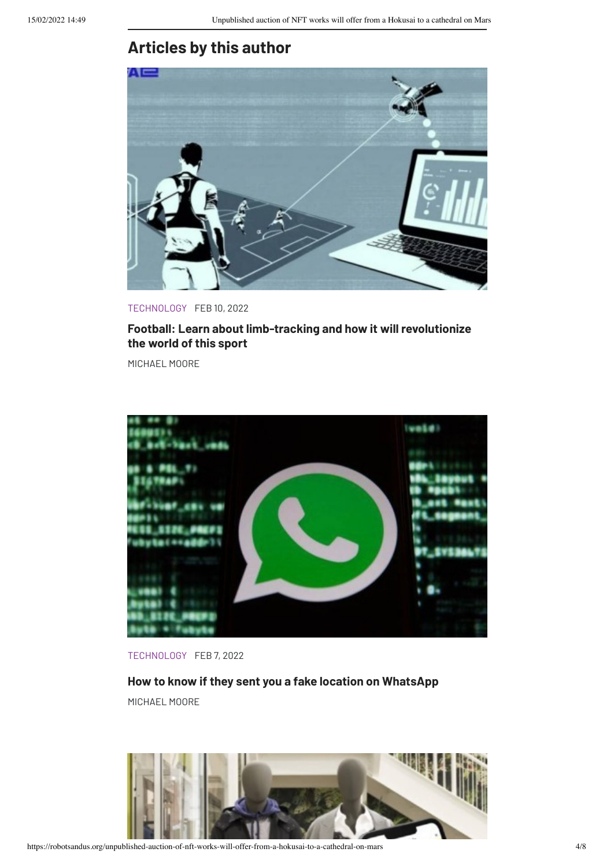# **Articles by this author**



TECHNOLOGY FEB 10, 2022

### **Football: Learn about [limb-tracking](https://robotsandus.org/football-learn-about-limb-tracking-and-how-it-will-revolutionize-the-world-of-this-sport) and how it will revolutionize the world of this sport**

MICHAEL MOORE



TECHNOLOGY FEB 7, 2022

**How to know if they sent you a fake location on [WhatsApp](https://robotsandus.org/how-to-know-if-they-sent-you-a-fake-location-on-whatsapp)** MICHAEL MOORE

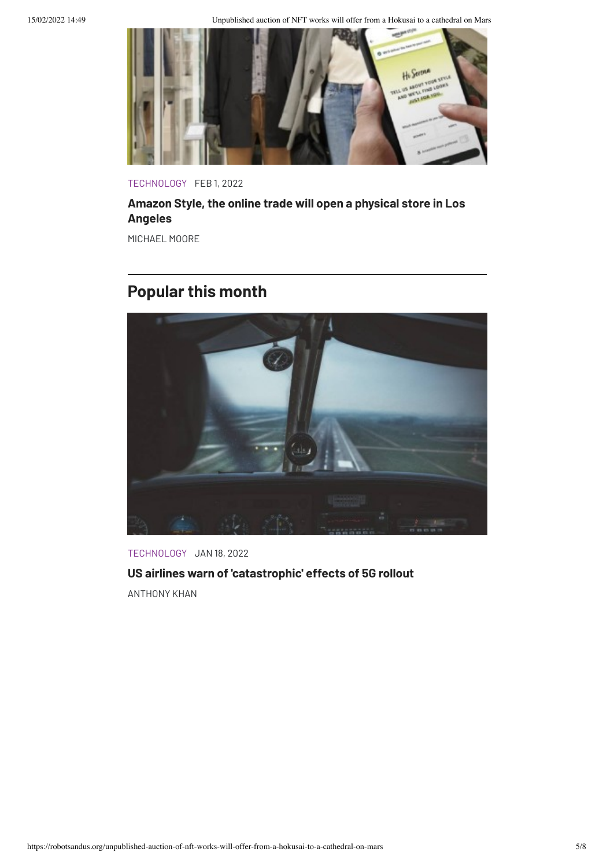15/02/2022 14:49 Unpublished auction of NFT works will offer from a Hokusai to a cathedral on Mars



TECHNOLOGY FEB 1, 2022

## **Amazon Style, the online trade will open a [physical](https://robotsandus.org/amazon-style-the-online-trade-will-open-a-physical-store-in-los-angeles) store in Los Angeles**

MICHAEL MOORE

# **Popular this month**



TECHNOLOGY JAN 18, 2022 **US airlines warn of ['catastrophic'](https://robotsandus.org/us-airlines-warn-of-catastrophic-effects-of-5g-rollout) effects of 5G rollout** ANTHONY KHAN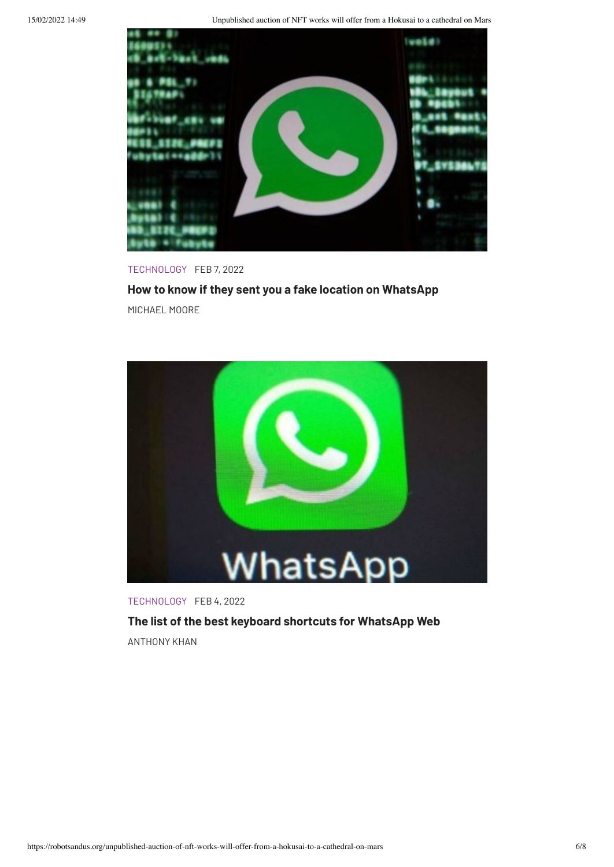15/02/2022 14:49 Unpublished auction of NFT works will offer from a Hokusai to a cathedral on Mars



#### TECHNOLOGY FEB 7, 2022

#### **How to know if they sent you a fake location on [WhatsApp](https://robotsandus.org/how-to-know-if-they-sent-you-a-fake-location-on-whatsapp)**

MICHAEL MOORE



TECHNOLOGY FEB 4, 2022

## **The list of the best keyboard shortcuts for [WhatsApp](https://robotsandus.org/the-list-of-the-best-keyboard-shortcuts-for-whatsapp-web) Web**

ANTHONY KHAN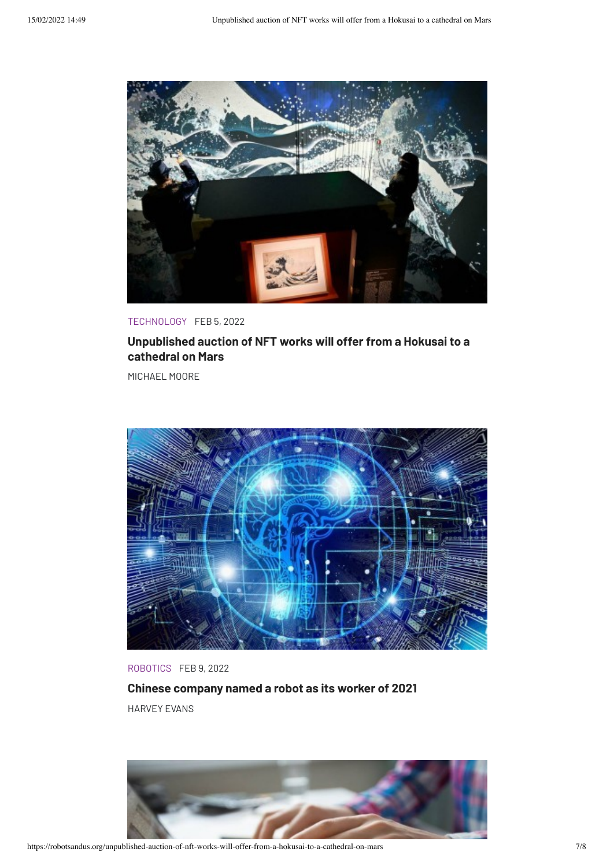

TECHNOLOGY FEB 5, 2022

## **[Unpublished](https://robotsandus.org/unpublished-auction-of-nft-works-will-offer-from-a-hokusai-to-a-cathedral-on-mars) auction of NFT works will offer from a Hokusai to a cathedral on Mars**

MICHAEL MOORE



### ROBOTICS FEB 9, 2022

**Chinese [company](https://robotsandus.org/chinese-company-named-a-robot-as-its-worker-of-2021) named a robot as its worker of 2021** HARVEY EVANS